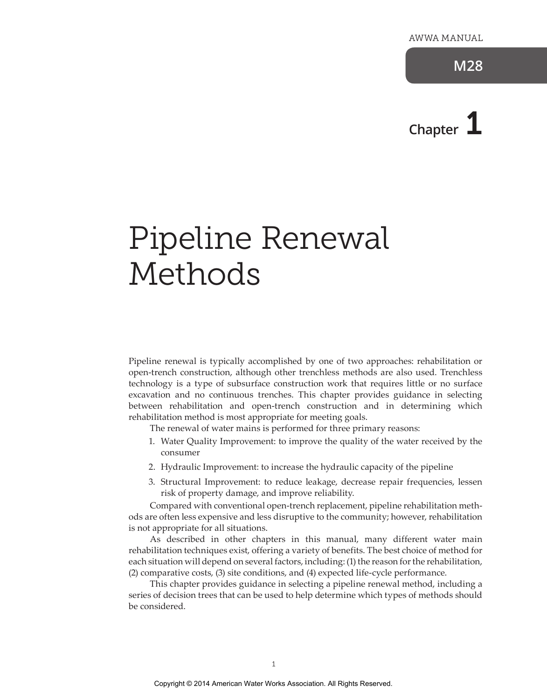**M28**

# **Chapter** 1

# Pipeline Renewal Methods

Pipeline renewal is typically accomplished by one of two approaches: rehabilitation or open-trench construction, although other trenchless methods are also used. Trenchless technology is a type of subsurface construction work that requires little or no surface excavation and no continuous trenches. This chapter provides guidance in selecting between rehabilitation and open-trench construction and in determining which rehabilitation method is most appropriate for meeting goals.

The renewal of water mains is performed for three primary reasons:

- 1. Water Quality Improvement: to improve the quality of the water received by the consumer
- 2. Hydraulic Improvement: to increase the hydraulic capacity of the pipeline
- 3. Structural Improvement: to reduce leakage, decrease repair frequencies, lessen risk of property damage, and improve reliability.

Compared with conventional open-trench replacement, pipeline rehabilitation methods are often less expensive and less disruptive to the community; however, rehabilitation is not appropriate for all situations.

As described in other chapters in this manual, many different water main rehabilitation techniques exist, offering a variety of benefits. The best choice of method for each situation will depend on several factors, including: (1) the reason for the rehabilitation, (2) comparative costs, (3) site conditions, and (4) expected life-cycle performance.

This chapter provides guidance in selecting a pipeline renewal method, including a series of decision trees that can be used to help determine which types of methods should be considered.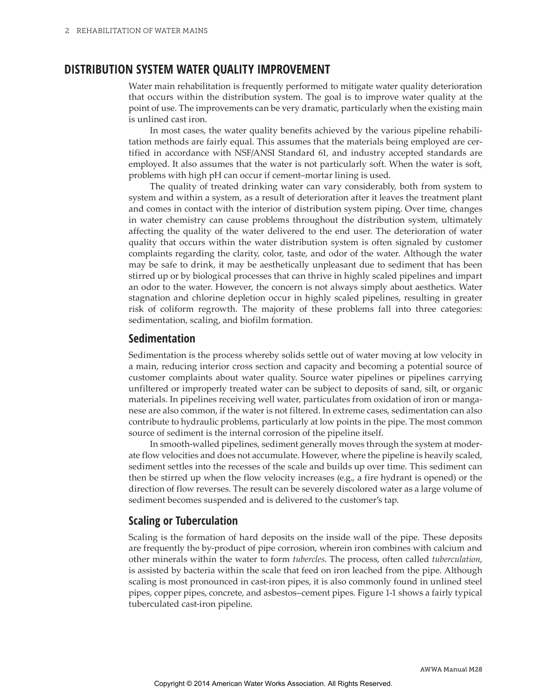#### **DISTRIBUTION SYSTEM WATER QUALITY IMPROVEMENT**

Water main rehabilitation is frequently performed to mitigate water quality deterioration that occurs within the distribution system. The goal is to improve water quality at the point of use. The improvements can be very dramatic, particularly when the existing main is unlined cast iron.

In most cases, the water quality benefits achieved by the various pipeline rehabilitation methods are fairly equal. This assumes that the materials being employed are certified in accordance with NSF/ANSI Standard 61, and industry accepted standards are employed. It also assumes that the water is not particularly soft. When the water is soft, problems with high pH can occur if cement–mortar lining is used.

The quality of treated drinking water can vary considerably, both from system to system and within a system, as a result of deterioration after it leaves the treatment plant and comes in contact with the interior of distribution system piping. Over time, changes in water chemistry can cause problems throughout the distribution system, ultimately affecting the quality of the water delivered to the end user. The deterioration of water quality that occurs within the water distribution system is often signaled by customer complaints regarding the clarity, color, taste, and odor of the water. Although the water may be safe to drink, it may be aesthetically unpleasant due to sediment that has been stirred up or by biological processes that can thrive in highly scaled pipelines and impart an odor to the water. However, the concern is not always simply about aesthetics. Water stagnation and chlorine depletion occur in highly scaled pipelines, resulting in greater risk of coliform regrowth. The majority of these problems fall into three categories: sedimentation, scaling, and biofilm formation.

#### **Sedimentation**

Sedimentation is the process whereby solids settle out of water moving at low velocity in a main, reducing interior cross section and capacity and becoming a potential source of customer complaints about water quality. Source water pipelines or pipelines carrying unfiltered or improperly treated water can be subject to deposits of sand, silt, or organic materials. In pipelines receiving well water, particulates from oxidation of iron or manganese are also common, if the water is not filtered. In extreme cases, sedimentation can also contribute to hydraulic problems, particularly at low points in the pipe. The most common source of sediment is the internal corrosion of the pipeline itself.

In smooth-walled pipelines, sediment generally moves through the system at moderate flow velocities and does not accumulate. However, where the pipeline is heavily scaled, sediment settles into the recesses of the scale and builds up over time. This sediment can then be stirred up when the flow velocity increases (e.g., a fire hydrant is opened) or the direction of flow reverses. The result can be severely discolored water as a large volume of sediment becomes suspended and is delivered to the customer's tap.

#### **Scaling or Tuberculation**

Scaling is the formation of hard deposits on the inside wall of the pipe. These deposits are frequently the by-product of pipe corrosion, wherein iron combines with calcium and other minerals within the water to form *tubercles*. The process, often called *tuberculation*, is assisted by bacteria within the scale that feed on iron leached from the pipe. Although scaling is most pronounced in cast-iron pipes, it is also commonly found in unlined steel pipes, copper pipes, concrete, and asbestos–cement pipes. Figure 1-1 shows a fairly typical tuberculated cast-iron pipeline.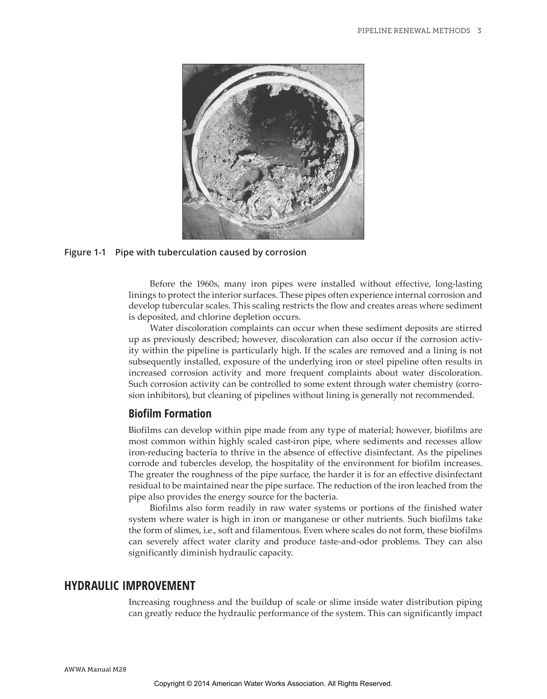

#### **Figure 1-1 Pipe with tuberculation caused by corrosion**

Before the 1960s, many iron pipes were installed without effective, long-lasting linings to protect the interior surfaces. These pipes often experience internal corrosion and develop tubercular scales. This scaling restricts the flow and creates areas where sediment is deposited, and chlorine depletion occurs.

Water discoloration complaints can occur when these sediment deposits are stirred up as previously described; however, discoloration can also occur if the corrosion activity within the pipeline is particularly high. If the scales are removed and a lining is not subsequently installed, exposure of the underlying iron or steel pipeline often results in increased corrosion activity and more frequent complaints about water discoloration. Such corrosion activity can be controlled to some extent through water chemistry (corrosion inhibitors), but cleaning of pipelines without lining is generally not recommended.

#### **Biofilm Formation**

Biofilms can develop within pipe made from any type of material; however, biofilms are most common within highly scaled cast-iron pipe, where sediments and recesses allow iron-reducing bacteria to thrive in the absence of effective disinfectant. As the pipelines corrode and tubercles develop, the hospitality of the environment for biofilm increases. The greater the roughness of the pipe surface, the harder it is for an effective disinfectant residual to be maintained near the pipe surface. The reduction of the iron leached from the pipe also provides the energy source for the bacteria.

Biofilms also form readily in raw water systems or portions of the finished water system where water is high in iron or manganese or other nutrients. Such biofilms take the form of slimes, i.e., soft and filamentous. Even where scales do not form, these biofilms can severely affect water clarity and produce taste-and-odor problems. They can also significantly diminish hydraulic capacity.

#### **HYDRAULIC IMPROVEMENT**

Increasing roughness and the buildup of scale or slime inside water distribution piping can greatly reduce the hydraulic performance of the system. This can significantly impact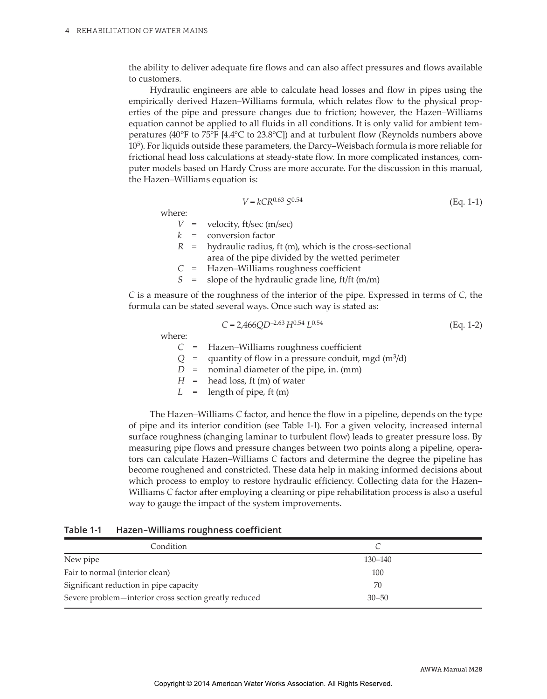the ability to deliver adequate fire flows and can also affect pressures and flows available to customers.

Hydraulic engineers are able to calculate head losses and flow in pipes using the empirically derived Hazen–Williams formula, which relates flow to the physical properties of the pipe and pressure changes due to friction; however, the Hazen–Williams equation cannot be applied to all fluids in all conditions. It is only valid for ambient temperatures (40°F to 75°F [4.4°C to 23.8°C]) and at turbulent flow (Reynolds numbers above 105). For liquids outside these parameters, the Darcy–Weisbach formula is more reliable for frictional head loss calculations at steady-state flow. In more complicated instances, computer models based on Hardy Cross are more accurate. For the discussion in this manual, the Hazen–Williams equation is:

$$
V = kCR^{0.63} S^{0.54}
$$
 (Eq. 1-1)

where:

 $V =$  velocity, ft/sec (m/sec)

*k* = conversion factor

- *R* = hydraulic radius, ft (m), which is the cross-sectional area of the pipe divided by the wetted perimeter
- *C* = Hazen–Williams roughness coefficient
- $S =$  slope of the hydraulic grade line, ft/ft (m/m)

*C* is a measure of the roughness of the interior of the pipe. Expressed in terms of *C*, the formula can be stated several ways. Once such way is stated as:

$$
C = 2,466QD^{-2.63}H^{0.54}L^{0.54}
$$
 (Eq. 1-2)

where:

*C* = Hazen–Williams roughness coefficient  $Q =$  quantity of flow in a pressure conduit, mgd (m<sup>3</sup>/d) *D* = nominal diameter of the pipe, in. (mm) *H* = head loss, ft (m) of water

 $L =$  length of pipe, ft (m)

The Hazen–Williams *C* factor, and hence the flow in a pipeline, depends on the type of pipe and its interior condition (see Table 1-1). For a given velocity, increased internal surface roughness (changing laminar to turbulent flow) leads to greater pressure loss. By measuring pipe flows and pressure changes between two points along a pipeline, operators can calculate Hazen–Williams *C* factors and determine the degree the pipeline has become roughened and constricted. These data help in making informed decisions about which process to employ to restore hydraulic efficiency. Collecting data for the Hazen– Williams *C* factor after employing a cleaning or pipe rehabilitation process is also a useful way to gauge the impact of the system improvements.

#### **Table 1-1 Hazen–Williams roughness coefficient**

| Condition                                             |             |
|-------------------------------------------------------|-------------|
| New pipe                                              | $130 - 140$ |
| Fair to normal (interior clean)                       | 100         |
| Significant reduction in pipe capacity                | 70          |
| Severe problem-interior cross section greatly reduced | $30 - 50$   |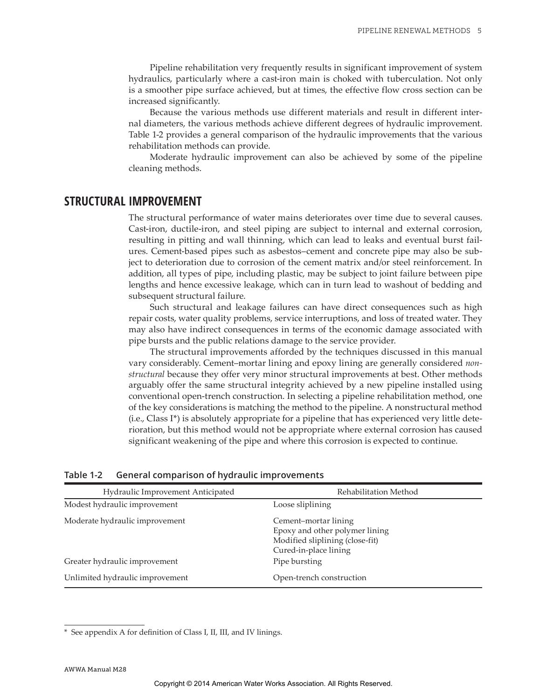Pipeline rehabilitation very frequently results in significant improvement of system hydraulics, particularly where a cast-iron main is choked with tuberculation. Not only is a smoother pipe surface achieved, but at times, the effective flow cross section can be increased significantly.

Because the various methods use different materials and result in different internal diameters, the various methods achieve different degrees of hydraulic improvement. Table 1-2 provides a general comparison of the hydraulic improvements that the various rehabilitation methods can provide.

Moderate hydraulic improvement can also be achieved by some of the pipeline cleaning methods.

#### **STRUCTURAL IMPROVEMENT**

The structural performance of water mains deteriorates over time due to several causes. Cast-iron, ductile-iron, and steel piping are subject to internal and external corrosion, resulting in pitting and wall thinning, which can lead to leaks and eventual burst failures. Cement-based pipes such as asbestos–cement and concrete pipe may also be subject to deterioration due to corrosion of the cement matrix and/or steel reinforcement. In addition, all types of pipe, including plastic, may be subject to joint failure between pipe lengths and hence excessive leakage, which can in turn lead to washout of bedding and subsequent structural failure.

Such structural and leakage failures can have direct consequences such as high repair costs, water quality problems, service interruptions, and loss of treated water. They may also have indirect consequences in terms of the economic damage associated with pipe bursts and the public relations damage to the service provider.

The structural improvements afforded by the techniques discussed in this manual vary considerably. Cement–mortar lining and epoxy lining are generally considered *nonstructural* because they offer very minor structural improvements at best. Other methods arguably offer the same structural integrity achieved by a new pipeline installed using conventional open-trench construction. In selecting a pipeline rehabilitation method, one of the key considerations is matching the method to the pipeline. A nonstructural method (i.e., Class I\*) is absolutely appropriate for a pipeline that has experienced very little deterioration, but this method would not be appropriate where external corrosion has caused significant weakening of the pipe and where this corrosion is expected to continue.

| Table 1-2 |  | General comparison of hydraulic improvements |  |  |  |
|-----------|--|----------------------------------------------|--|--|--|
|-----------|--|----------------------------------------------|--|--|--|

| Hydraulic Improvement Anticipated | Rehabilitation Method                                                                                              |
|-----------------------------------|--------------------------------------------------------------------------------------------------------------------|
| Modest hydraulic improvement      | Loose sliplining                                                                                                   |
| Moderate hydraulic improvement    | Cement-mortar lining<br>Epoxy and other polymer lining<br>Modified sliplining (close-fit)<br>Cured-in-place lining |
| Greater hydraulic improvement     | Pipe bursting                                                                                                      |
| Unlimited hydraulic improvement   | Open-trench construction                                                                                           |

\* See appendix A for definition of Class I, II, III, and IV linings.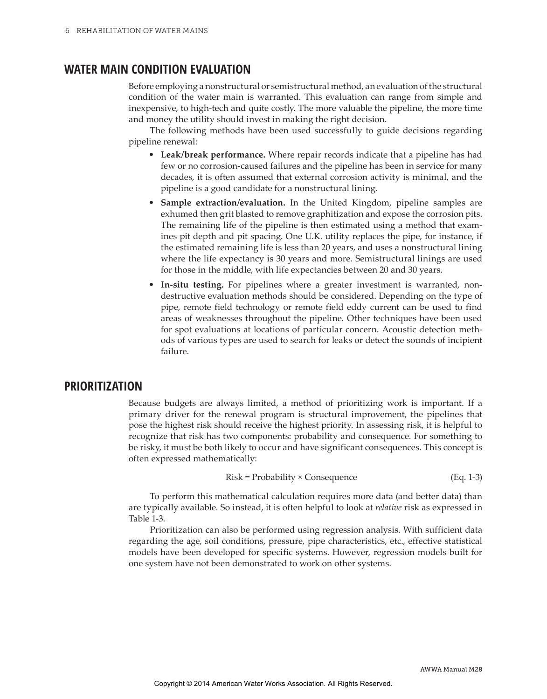# **WATER MAIN CONDITION EVALUATION**

Before employing a nonstructural or semistructural method, an evaluation of the structural condition of the water main is warranted. This evaluation can range from simple and inexpensive, to high-tech and quite costly. The more valuable the pipeline, the more time and money the utility should invest in making the right decision.

The following methods have been used successfully to guide decisions regarding pipeline renewal:

- **Leak/break performance.** Where repair records indicate that a pipeline has had few or no corrosion-caused failures and the pipeline has been in service for many decades, it is often assumed that external corrosion activity is minimal, and the pipeline is a good candidate for a nonstructural lining.
- **Sample extraction/evaluation.** In the United Kingdom, pipeline samples are exhumed then grit blasted to remove graphitization and expose the corrosion pits. The remaining life of the pipeline is then estimated using a method that examines pit depth and pit spacing. One U.K. utility replaces the pipe, for instance, if the estimated remaining life is less than 20 years, and uses a nonstructural lining where the life expectancy is 30 years and more. Semistructural linings are used for those in the middle, with life expectancies between 20 and 30 years.
- **In-situ testing.** For pipelines where a greater investment is warranted, nondestructive evaluation methods should be considered. Depending on the type of pipe, remote field technology or remote field eddy current can be used to find areas of weaknesses throughout the pipeline. Other techniques have been used for spot evaluations at locations of particular concern. Acoustic detection methods of various types are used to search for leaks or detect the sounds of incipient failure.

### **PRIORITIZATION**

Because budgets are always limited, a method of prioritizing work is important. If a primary driver for the renewal program is structural improvement, the pipelines that pose the highest risk should receive the highest priority. In assessing risk, it is helpful to recognize that risk has two components: probability and consequence. For something to be risky, it must be both likely to occur and have significant consequences. This concept is often expressed mathematically:

$$
Risk = Probability \times Consequence
$$
 (Eq. 1-3)

To perform this mathematical calculation requires more data (and better data) than are typically available. So instead, it is often helpful to look at *relative* risk as expressed in Table 1-3.

Prioritization can also be performed using regression analysis. With sufficient data regarding the age, soil conditions, pressure, pipe characteristics, etc., effective statistical models have been developed for specific systems. However, regression models built for one system have not been demonstrated to work on other systems.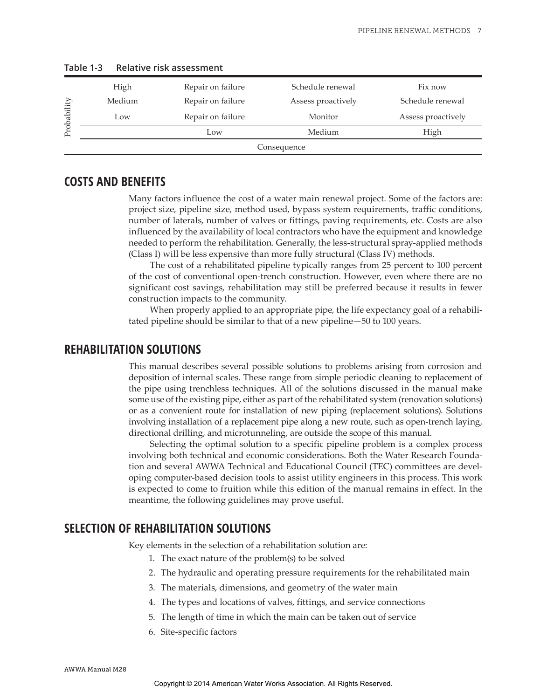|             | High   | Repair on failure | Schedule renewal   | Fix now            |
|-------------|--------|-------------------|--------------------|--------------------|
|             | Medium | Repair on failure | Assess proactively | Schedule renewal   |
| Probability | Low    | Repair on failure | Monitor            | Assess proactively |
|             |        | Low               | Medium             | High               |
|             |        |                   | Consequence        |                    |

#### **Table 1-3 Relative risk assessment**

# **COSTS AND BENEFITS**

Many factors influence the cost of a water main renewal project. Some of the factors are: project size, pipeline size, method used, bypass system requirements, traffic conditions, number of laterals, number of valves or fittings, paving requirements, etc. Costs are also influenced by the availability of local contractors who have the equipment and knowledge needed to perform the rehabilitation. Generally, the less-structural spray-applied methods (Class I) will be less expensive than more fully structural (Class IV) methods.

The cost of a rehabilitated pipeline typically ranges from 25 percent to 100 percent of the cost of conventional open-trench construction. However, even where there are no significant cost savings, rehabilitation may still be preferred because it results in fewer construction impacts to the community.

When properly applied to an appropriate pipe, the life expectancy goal of a rehabilitated pipeline should be similar to that of a new pipeline—50 to 100 years.

# **REHABILITATION SOLUTIONS**

This manual describes several possible solutions to problems arising from corrosion and deposition of internal scales. These range from simple periodic cleaning to replacement of the pipe using trenchless techniques. All of the solutions discussed in the manual make some use of the existing pipe, either as part of the rehabilitated system (renovation solutions) or as a convenient route for installation of new piping (replacement solutions). Solutions involving installation of a replacement pipe along a new route, such as open-trench laying, directional drilling, and microtunneling, are outside the scope of this manual.

Selecting the optimal solution to a specific pipeline problem is a complex process involving both technical and economic considerations. Both the Water Research Foundation and several AWWA Technical and Educational Council (TEC) committees are developing computer-based decision tools to assist utility engineers in this process. This work is expected to come to fruition while this edition of the manual remains in effect. In the meantime, the following guidelines may prove useful.

# **SELECTION OF REHABILITATION SOLUTIONS**

Key elements in the selection of a rehabilitation solution are:

- 1. The exact nature of the problem(s) to be solved
- 2. The hydraulic and operating pressure requirements for the rehabilitated main
- 3. The materials, dimensions, and geometry of the water main
- 4. The types and locations of valves, fittings, and service connections
- 5. The length of time in which the main can be taken out of service
- 6. Site-specific factors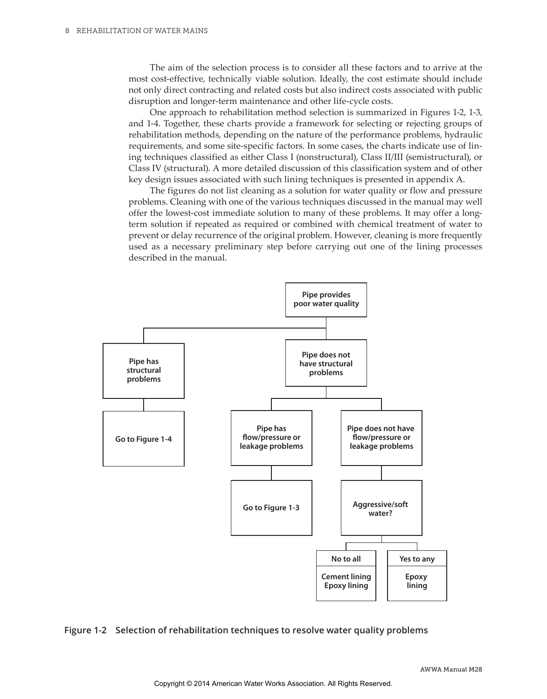The aim of the selection process is to consider all these factors and to arrive at the most cost-effective, technically viable solution. Ideally, the cost estimate should include not only direct contracting and related costs but also indirect costs associated with public disruption and longer-term maintenance and other life-cycle costs.

One approach to rehabilitation method selection is summarized in Figures 1-2, 1-3, and 1-4. Together, these charts provide a framework for selecting or rejecting groups of rehabilitation methods, depending on the nature of the performance problems, hydraulic requirements, and some site-specific factors. In some cases, the charts indicate use of lining techniques classified as either Class I (nonstructural), Class II/III (semistructural), or Class IV (structural). A more detailed discussion of this classification system and of other key design issues associated with such lining techniques is presented in appendix A.

The figures do not list cleaning as a solution for water quality or flow and pressure problems. Cleaning with one of the various techniques discussed in the manual may well offer the lowest-cost immediate solution to many of these problems. It may offer a longterm solution if repeated as required or combined with chemical treatment of water to prevent or delay recurrence of the original problem. However, cleaning is more frequently used as a necessary preliminary step before carrying out one of the lining processes described in the manual.



#### **Figure 1-2 Selection of rehabilitation techniques to resolve water quality problems**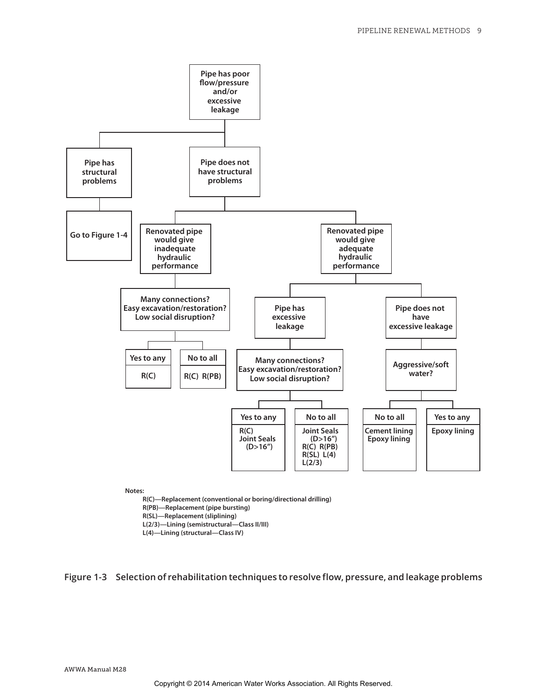

- **L(2/3)—Lining (semistructural—Class II/III)**
- **L(4)—Lining (structural—Class IV)**

![](_page_8_Figure_4.jpeg)